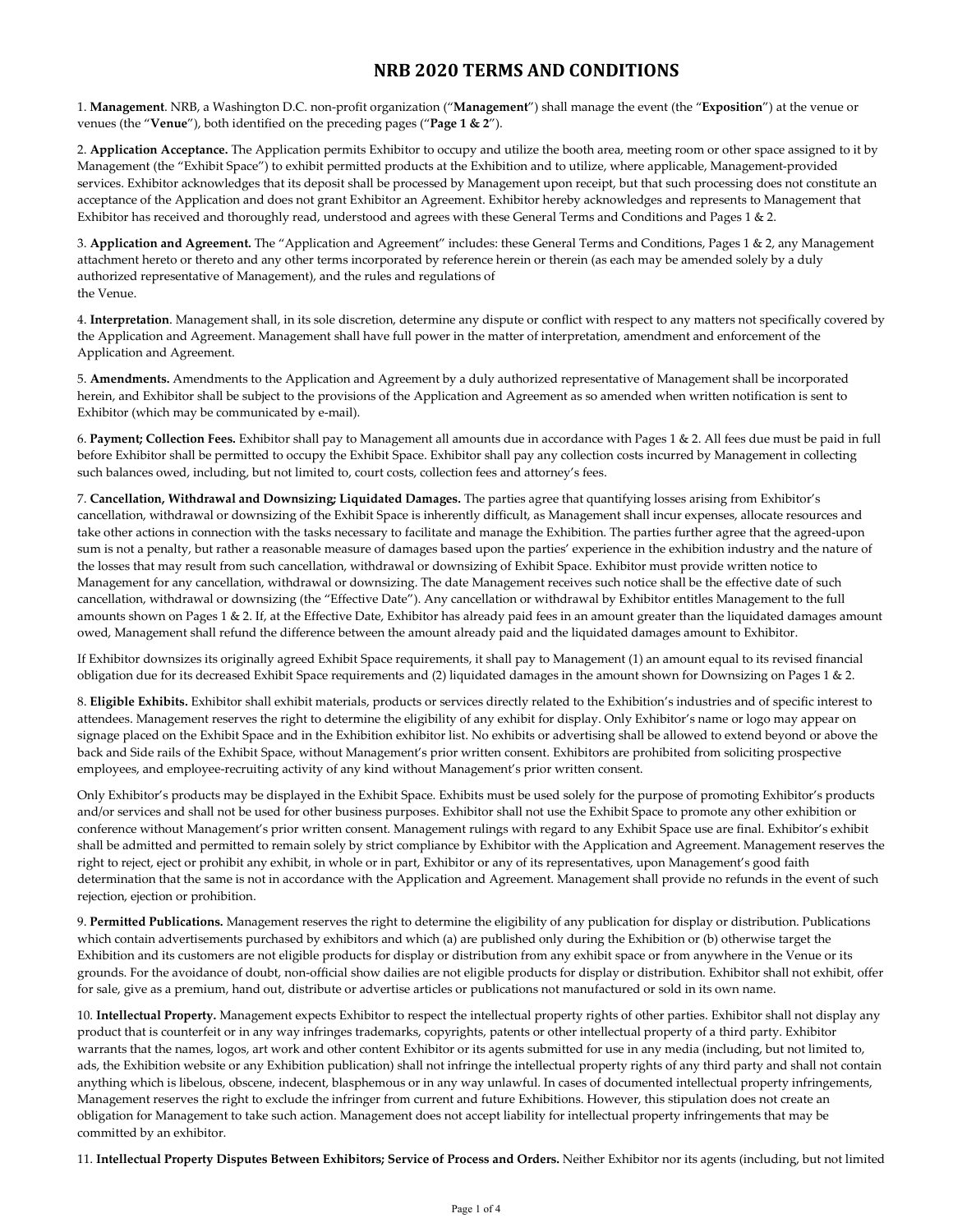1. **Management**. NRB, a Washington D.C. non-profit organization ("**Management**") shall manage the event (the "**Exposition**") at the venue or venues (the "**Venue**"), both identified on the preceding pages ("**Page 1 & 2**").

2. **Application Acceptance.** The Application permits Exhibitor to occupy and utilize the booth area, meeting room or other space assigned to it by Management (the "Exhibit Space") to exhibit permitted products at the Exhibition and to utilize, where applicable, Management-provided services. Exhibitor acknowledges that its deposit shall be processed by Management upon receipt, but that such processing does not constitute an acceptance of the Application and does not grant Exhibitor an Agreement. Exhibitor hereby acknowledges and represents to Management that Exhibitor has received and thoroughly read, understood and agrees with these General Terms and Conditions and Pages 1 & 2.

3. **Application and Agreement.** The "Application and Agreement" includes: these General Terms and Conditions, Pages 1 & 2, any Management attachment hereto or thereto and any other terms incorporated by reference herein or therein (as each may be amended solely by a duly authorized representative of Management), and the rules and regulations of the Venue.

4. **Interpretation**. Management shall, in its sole discretion, determine any dispute or conflict with respect to any matters not specifically covered by the Application and Agreement. Management shall have full power in the matter of interpretation, amendment and enforcement of the Application and Agreement.

5. **Amendments.** Amendments to the Application and Agreement by a duly authorized representative of Management shall be incorporated herein, and Exhibitor shall be subject to the provisions of the Application and Agreement as so amended when written notification is sent to Exhibitor (which may be communicated by e-mail).

6. **Payment; Collection Fees.** Exhibitor shall pay to Management all amounts due in accordance with Pages 1 & 2. All fees due must be paid in full before Exhibitor shall be permitted to occupy the Exhibit Space. Exhibitor shall pay any collection costs incurred by Management in collecting such balances owed, including, but not limited to, court costs, collection fees and attorney's fees.

7. **Cancellation, Withdrawal and Downsizing; Liquidated Damages.** The parties agree that quantifying losses arising from Exhibitor's cancellation, withdrawal or downsizing of the Exhibit Space is inherently difficult, as Management shall incur expenses, allocate resources and take other actions in connection with the tasks necessary to facilitate and manage the Exhibition. The parties further agree that the agreed-upon sum is not a penalty, but rather a reasonable measure of damages based upon the parties' experience in the exhibition industry and the nature of the losses that may result from such cancellation, withdrawal or downsizing of Exhibit Space. Exhibitor must provide written notice to Management for any cancellation, withdrawal or downsizing. The date Management receives such notice shall be the effective date of such cancellation, withdrawal or downsizing (the "Effective Date"). Any cancellation or withdrawal by Exhibitor entitles Management to the full amounts shown on Pages 1 & 2. If, at the Effective Date, Exhibitor has already paid fees in an amount greater than the liquidated damages amount owed, Management shall refund the difference between the amount already paid and the liquidated damages amount to Exhibitor.

If Exhibitor downsizes its originally agreed Exhibit Space requirements, it shall pay to Management (1) an amount equal to its revised financial obligation due for its decreased Exhibit Space requirements and (2) liquidated damages in the amount shown for Downsizing on Pages 1 & 2.

8. **Eligible Exhibits.** Exhibitor shall exhibit materials, products or services directly related to the Exhibition's industries and of specific interest to attendees. Management reserves the right to determine the eligibility of any exhibit for display. Only Exhibitor's name or logo may appear on signage placed on the Exhibit Space and in the Exhibition exhibitor list. No exhibits or advertising shall be allowed to extend beyond or above the back and Side rails of the Exhibit Space, without Management's prior written consent. Exhibitors are prohibited from soliciting prospective employees, and employee-recruiting activity of any kind without Management's prior written consent.

Only Exhibitor's products may be displayed in the Exhibit Space. Exhibits must be used solely for the purpose of promoting Exhibitor's products and/or services and shall not be used for other business purposes. Exhibitor shall not use the Exhibit Space to promote any other exhibition or conference without Management's prior written consent. Management rulings with regard to any Exhibit Space use are final. Exhibitor's exhibit shall be admitted and permitted to remain solely by strict compliance by Exhibitor with the Application and Agreement. Management reserves the right to reject, eject or prohibit any exhibit, in whole or in part, Exhibitor or any of its representatives, upon Management's good faith determination that the same is not in accordance with the Application and Agreement. Management shall provide no refunds in the event of such rejection, ejection or prohibition.

9. **Permitted Publications.** Management reserves the right to determine the eligibility of any publication for display or distribution. Publications which contain advertisements purchased by exhibitors and which (a) are published only during the Exhibition or (b) otherwise target the Exhibition and its customers are not eligible products for display or distribution from any exhibit space or from anywhere in the Venue or its grounds. For the avoidance of doubt, non-official show dailies are not eligible products for display or distribution. Exhibitor shall not exhibit, offer for sale, give as a premium, hand out, distribute or advertise articles or publications not manufactured or sold in its own name.

10. **Intellectual Property.** Management expects Exhibitor to respect the intellectual property rights of other parties. Exhibitor shall not display any product that is counterfeit or in any way infringes trademarks, copyrights, patents or other intellectual property of a third party. Exhibitor warrants that the names, logos, art work and other content Exhibitor or its agents submitted for use in any media (including, but not limited to, ads, the Exhibition website or any Exhibition publication) shall not infringe the intellectual property rights of any third party and shall not contain anything which is libelous, obscene, indecent, blasphemous or in any way unlawful. In cases of documented intellectual property infringements, Management reserves the right to exclude the infringer from current and future Exhibitions. However, this stipulation does not create an obligation for Management to take such action. Management does not accept liability for intellectual property infringements that may be committed by an exhibitor.

11. **Intellectual Property Disputes Between Exhibitors; Service of Process and Orders.** Neither Exhibitor nor its agents (including, but not limited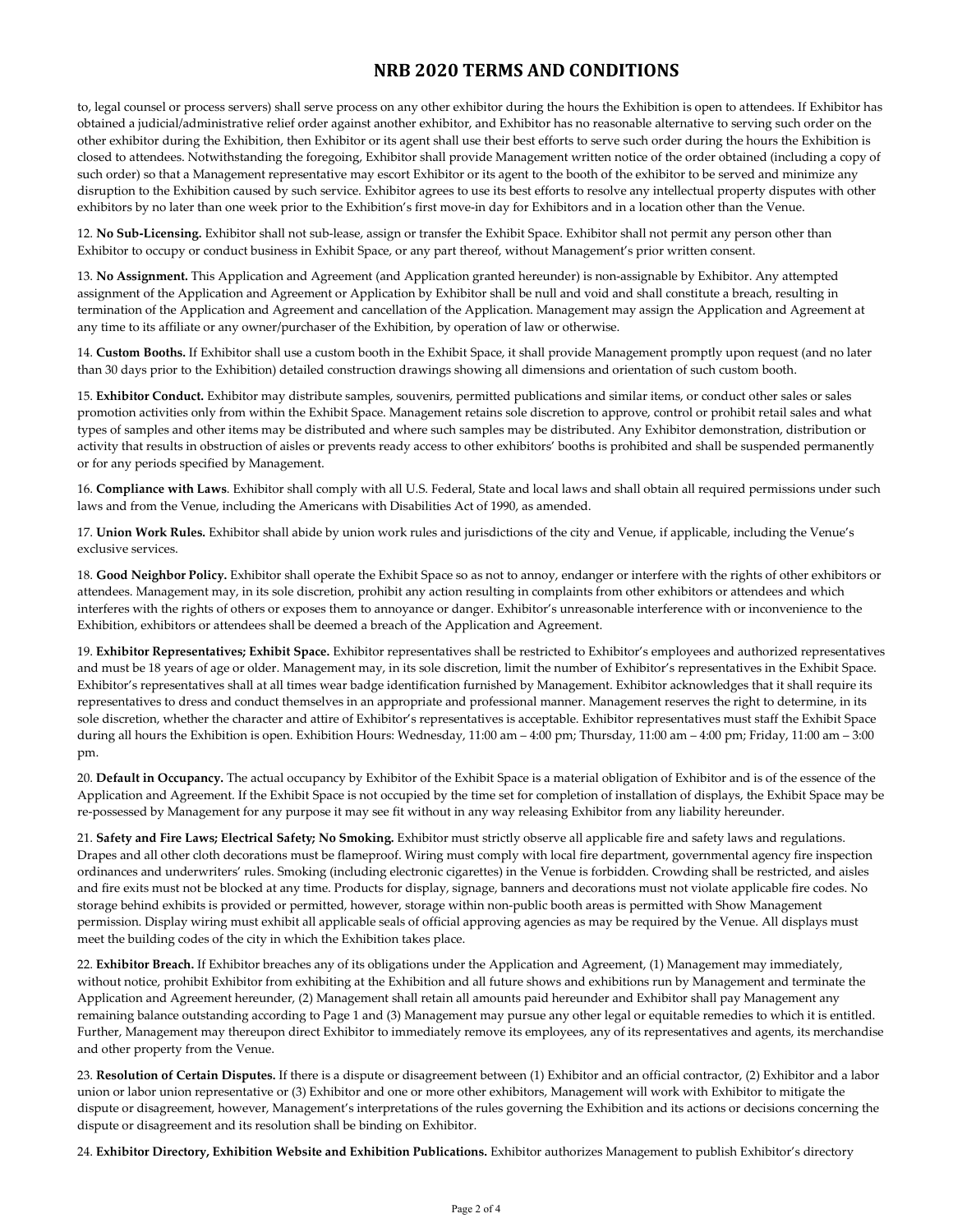to, legal counsel or process servers) shall serve process on any other exhibitor during the hours the Exhibition is open to attendees. If Exhibitor has obtained a judicial/administrative relief order against another exhibitor, and Exhibitor has no reasonable alternative to serving such order on the other exhibitor during the Exhibition, then Exhibitor or its agent shall use their best efforts to serve such order during the hours the Exhibition is closed to attendees. Notwithstanding the foregoing, Exhibitor shall provide Management written notice of the order obtained (including a copy of such order) so that a Management representative may escort Exhibitor or its agent to the booth of the exhibitor to be served and minimize any disruption to the Exhibition caused by such service. Exhibitor agrees to use its best efforts to resolve any intellectual property disputes with other exhibitors by no later than one week prior to the Exhibition's first move-in day for Exhibitors and in a location other than the Venue.

12. **No Sub-Licensing.** Exhibitor shall not sub-lease, assign or transfer the Exhibit Space. Exhibitor shall not permit any person other than Exhibitor to occupy or conduct business in Exhibit Space, or any part thereof, without Management's prior written consent.

13. **No Assignment.** This Application and Agreement (and Application granted hereunder) is non-assignable by Exhibitor. Any attempted assignment of the Application and Agreement or Application by Exhibitor shall be null and void and shall constitute a breach, resulting in termination of the Application and Agreement and cancellation of the Application. Management may assign the Application and Agreement at any time to its affiliate or any owner/purchaser of the Exhibition, by operation of law or otherwise.

14. **Custom Booths.** If Exhibitor shall use a custom booth in the Exhibit Space, it shall provide Management promptly upon request (and no later than 30 days prior to the Exhibition) detailed construction drawings showing all dimensions and orientation of such custom booth.

15. **Exhibitor Conduct.** Exhibitor may distribute samples, souvenirs, permitted publications and similar items, or conduct other sales or sales promotion activities only from within the Exhibit Space. Management retains sole discretion to approve, control or prohibit retail sales and what types of samples and other items may be distributed and where such samples may be distributed. Any Exhibitor demonstration, distribution or activity that results in obstruction of aisles or prevents ready access to other exhibitors' booths is prohibited and shall be suspended permanently or for any periods specified by Management.

16. **Compliance with Laws**. Exhibitor shall comply with all U.S. Federal, State and local laws and shall obtain all required permissions under such laws and from the Venue, including the Americans with Disabilities Act of 1990, as amended.

17. **Union Work Rules.** Exhibitor shall abide by union work rules and jurisdictions of the city and Venue, if applicable, including the Venue's exclusive services.

18. **Good Neighbor Policy.** Exhibitor shall operate the Exhibit Space so as not to annoy, endanger or interfere with the rights of other exhibitors or attendees. Management may, in its sole discretion, prohibit any action resulting in complaints from other exhibitors or attendees and which interferes with the rights of others or exposes them to annoyance or danger. Exhibitor's unreasonable interference with or inconvenience to the Exhibition, exhibitors or attendees shall be deemed a breach of the Application and Agreement.

19. **Exhibitor Representatives; Exhibit Space.** Exhibitor representatives shall be restricted to Exhibitor's employees and authorized representatives and must be 18 years of age or older. Management may, in its sole discretion, limit the number of Exhibitor's representatives in the Exhibit Space. Exhibitor's representatives shall at all times wear badge identification furnished by Management. Exhibitor acknowledges that it shall require its representatives to dress and conduct themselves in an appropriate and professional manner. Management reserves the right to determine, in its sole discretion, whether the character and attire of Exhibitor's representatives is acceptable. Exhibitor representatives must staff the Exhibit Space during all hours the Exhibition is open. Exhibition Hours: Wednesday, 11:00 am – 4:00 pm; Thursday, 11:00 am – 4:00 pm; Friday, 11:00 am – 3:00 pm.

20. **Default in Occupancy.** The actual occupancy by Exhibitor of the Exhibit Space is a material obligation of Exhibitor and is of the essence of the Application and Agreement. If the Exhibit Space is not occupied by the time set for completion of installation of displays, the Exhibit Space may be re-possessed by Management for any purpose it may see fit without in any way releasing Exhibitor from any liability hereunder.

21. **Safety and Fire Laws; Electrical Safety; No Smoking.** Exhibitor must strictly observe all applicable fire and safety laws and regulations. Drapes and all other cloth decorations must be flameproof. Wiring must comply with local fire department, governmental agency fire inspection ordinances and underwriters' rules. Smoking (including electronic cigarettes) in the Venue is forbidden. Crowding shall be restricted, and aisles and fire exits must not be blocked at any time. Products for display, signage, banners and decorations must not violate applicable fire codes. No storage behind exhibits is provided or permitted, however, storage within non-public booth areas is permitted with Show Management permission. Display wiring must exhibit all applicable seals of official approving agencies as may be required by the Venue. All displays must meet the building codes of the city in which the Exhibition takes place.

22. **Exhibitor Breach.** If Exhibitor breaches any of its obligations under the Application and Agreement, (1) Management may immediately, without notice, prohibit Exhibitor from exhibiting at the Exhibition and all future shows and exhibitions run by Management and terminate the Application and Agreement hereunder, (2) Management shall retain all amounts paid hereunder and Exhibitor shall pay Management any remaining balance outstanding according to Page 1 and (3) Management may pursue any other legal or equitable remedies to which it is entitled. Further, Management may thereupon direct Exhibitor to immediately remove its employees, any of its representatives and agents, its merchandise and other property from the Venue.

23. **Resolution of Certain Disputes.** If there is a dispute or disagreement between (1) Exhibitor and an official contractor, (2) Exhibitor and a labor union or labor union representative or (3) Exhibitor and one or more other exhibitors, Management will work with Exhibitor to mitigate the dispute or disagreement, however, Management's interpretations of the rules governing the Exhibition and its actions or decisions concerning the dispute or disagreement and its resolution shall be binding on Exhibitor.

24. **Exhibitor Directory, Exhibition Website and Exhibition Publications.** Exhibitor authorizes Management to publish Exhibitor's directory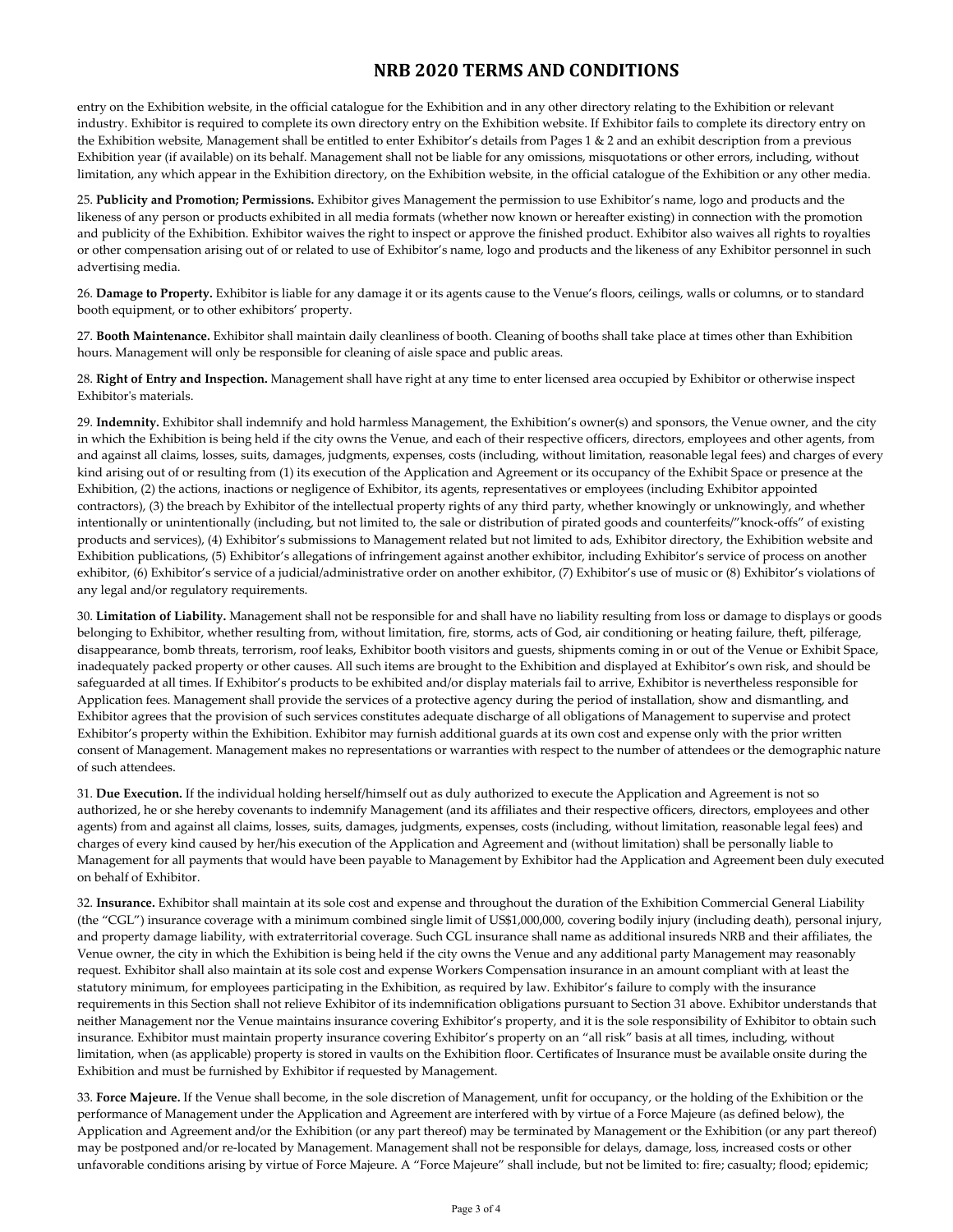entry on the Exhibition website, in the official catalogue for the Exhibition and in any other directory relating to the Exhibition or relevant industry. Exhibitor is required to complete its own directory entry on the Exhibition website. If Exhibitor fails to complete its directory entry on the Exhibition website, Management shall be entitled to enter Exhibitor's details from Pages 1 & 2 and an exhibit description from a previous Exhibition year (if available) on its behalf. Management shall not be liable for any omissions, misquotations or other errors, including, without limitation, any which appear in the Exhibition directory, on the Exhibition website, in the official catalogue of the Exhibition or any other media.

25. **Publicity and Promotion; Permissions.** Exhibitor gives Management the permission to use Exhibitor's name, logo and products and the likeness of any person or products exhibited in all media formats (whether now known or hereafter existing) in connection with the promotion and publicity of the Exhibition. Exhibitor waives the right to inspect or approve the finished product. Exhibitor also waives all rights to royalties or other compensation arising out of or related to use of Exhibitor's name, logo and products and the likeness of any Exhibitor personnel in such advertising media.

26. **Damage to Property.** Exhibitor is liable for any damage it or its agents cause to the Venue's floors, ceilings, walls or columns, or to standard booth equipment, or to other exhibitors' property.

27. **Booth Maintenance.** Exhibitor shall maintain daily cleanliness of booth. Cleaning of booths shall take place at times other than Exhibition hours. Management will only be responsible for cleaning of aisle space and public areas.

28. **Right of Entry and Inspection.** Management shall have right at any time to enter licensed area occupied by Exhibitor or otherwise inspect Exhibitor's materials.

29. **Indemnity.** Exhibitor shall indemnify and hold harmless Management, the Exhibition's owner(s) and sponsors, the Venue owner, and the city in which the Exhibition is being held if the city owns the Venue, and each of their respective officers, directors, employees and other agents, from and against all claims, losses, suits, damages, judgments, expenses, costs (including, without limitation, reasonable legal fees) and charges of every kind arising out of or resulting from (1) its execution of the Application and Agreement or its occupancy of the Exhibit Space or presence at the Exhibition, (2) the actions, inactions or negligence of Exhibitor, its agents, representatives or employees (including Exhibitor appointed contractors), (3) the breach by Exhibitor of the intellectual property rights of any third party, whether knowingly or unknowingly, and whether intentionally or unintentionally (including, but not limited to, the sale or distribution of pirated goods and counterfeits/"knock-offs" of existing products and services), (4) Exhibitor's submissions to Management related but not limited to ads, Exhibitor directory, the Exhibition website and Exhibition publications, (5) Exhibitor's allegations of infringement against another exhibitor, including Exhibitor's service of process on another exhibitor, (6) Exhibitor's service of a judicial/administrative order on another exhibitor, (7) Exhibitor's use of music or (8) Exhibitor's violations of any legal and/or regulatory requirements.

30. **Limitation of Liability.** Management shall not be responsible for and shall have no liability resulting from loss or damage to displays or goods belonging to Exhibitor, whether resulting from, without limitation, fire, storms, acts of God, air conditioning or heating failure, theft, pilferage, disappearance, bomb threats, terrorism, roof leaks, Exhibitor booth visitors and guests, shipments coming in or out of the Venue or Exhibit Space, inadequately packed property or other causes. All such items are brought to the Exhibition and displayed at Exhibitor's own risk, and should be safeguarded at all times. If Exhibitor's products to be exhibited and/or display materials fail to arrive, Exhibitor is nevertheless responsible for Application fees. Management shall provide the services of a protective agency during the period of installation, show and dismantling, and Exhibitor agrees that the provision of such services constitutes adequate discharge of all obligations of Management to supervise and protect Exhibitor's property within the Exhibition. Exhibitor may furnish additional guards at its own cost and expense only with the prior written consent of Management. Management makes no representations or warranties with respect to the number of attendees or the demographic nature of such attendees.

31. **Due Execution.** If the individual holding herself/himself out as duly authorized to execute the Application and Agreement is not so authorized, he or she hereby covenants to indemnify Management (and its affiliates and their respective officers, directors, employees and other agents) from and against all claims, losses, suits, damages, judgments, expenses, costs (including, without limitation, reasonable legal fees) and charges of every kind caused by her/his execution of the Application and Agreement and (without limitation) shall be personally liable to Management for all payments that would have been payable to Management by Exhibitor had the Application and Agreement been duly executed on behalf of Exhibitor.

32. **Insurance.** Exhibitor shall maintain at its sole cost and expense and throughout the duration of the Exhibition Commercial General Liability (the "CGL") insurance coverage with a minimum combined single limit of US\$1,000,000, covering bodily injury (including death), personal injury, and property damage liability, with extraterritorial coverage. Such CGL insurance shall name as additional insureds NRB and their affiliates, the Venue owner, the city in which the Exhibition is being held if the city owns the Venue and any additional party Management may reasonably request. Exhibitor shall also maintain at its sole cost and expense Workers Compensation insurance in an amount compliant with at least the statutory minimum, for employees participating in the Exhibition, as required by law. Exhibitor's failure to comply with the insurance requirements in this Section shall not relieve Exhibitor of its indemnification obligations pursuant to Section 31 above. Exhibitor understands that neither Management nor the Venue maintains insurance covering Exhibitor's property, and it is the sole responsibility of Exhibitor to obtain such insurance. Exhibitor must maintain property insurance covering Exhibitor's property on an "all risk" basis at all times, including, without limitation, when (as applicable) property is stored in vaults on the Exhibition floor. Certificates of Insurance must be available onsite during the Exhibition and must be furnished by Exhibitor if requested by Management.

33. **Force Majeure.** If the Venue shall become, in the sole discretion of Management, unfit for occupancy, or the holding of the Exhibition or the performance of Management under the Application and Agreement are interfered with by virtue of a Force Majeure (as defined below), the Application and Agreement and/or the Exhibition (or any part thereof) may be terminated by Management or the Exhibition (or any part thereof) may be postponed and/or re-located by Management. Management shall not be responsible for delays, damage, loss, increased costs or other unfavorable conditions arising by virtue of Force Majeure. A "Force Majeure" shall include, but not be limited to: fire; casualty; flood; epidemic;